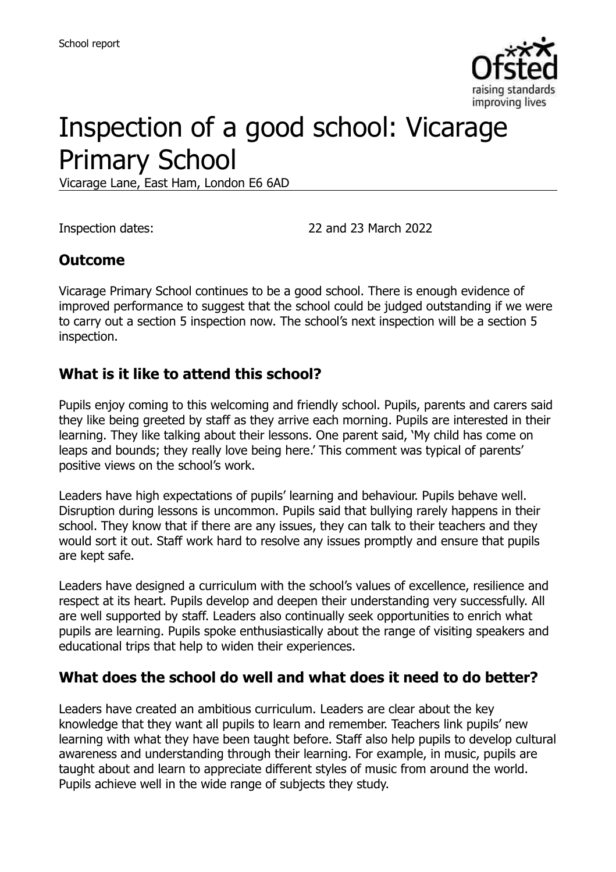

# Inspection of a good school: Vicarage Primary School

Vicarage Lane, East Ham, London E6 6AD

Inspection dates: 22 and 23 March 2022

## **Outcome**

Vicarage Primary School continues to be a good school. There is enough evidence of improved performance to suggest that the school could be judged outstanding if we were to carry out a section 5 inspection now. The school's next inspection will be a section 5 inspection.

### **What is it like to attend this school?**

Pupils enjoy coming to this welcoming and friendly school. Pupils, parents and carers said they like being greeted by staff as they arrive each morning. Pupils are interested in their learning. They like talking about their lessons. One parent said, 'My child has come on leaps and bounds; they really love being here.' This comment was typical of parents' positive views on the school's work.

Leaders have high expectations of pupils' learning and behaviour. Pupils behave well. Disruption during lessons is uncommon. Pupils said that bullying rarely happens in their school. They know that if there are any issues, they can talk to their teachers and they would sort it out. Staff work hard to resolve any issues promptly and ensure that pupils are kept safe.

Leaders have designed a curriculum with the school's values of excellence, resilience and respect at its heart. Pupils develop and deepen their understanding very successfully. All are well supported by staff. Leaders also continually seek opportunities to enrich what pupils are learning. Pupils spoke enthusiastically about the range of visiting speakers and educational trips that help to widen their experiences.

#### **What does the school do well and what does it need to do better?**

Leaders have created an ambitious curriculum. Leaders are clear about the key knowledge that they want all pupils to learn and remember. Teachers link pupils' new learning with what they have been taught before. Staff also help pupils to develop cultural awareness and understanding through their learning. For example, in music, pupils are taught about and learn to appreciate different styles of music from around the world. Pupils achieve well in the wide range of subjects they study.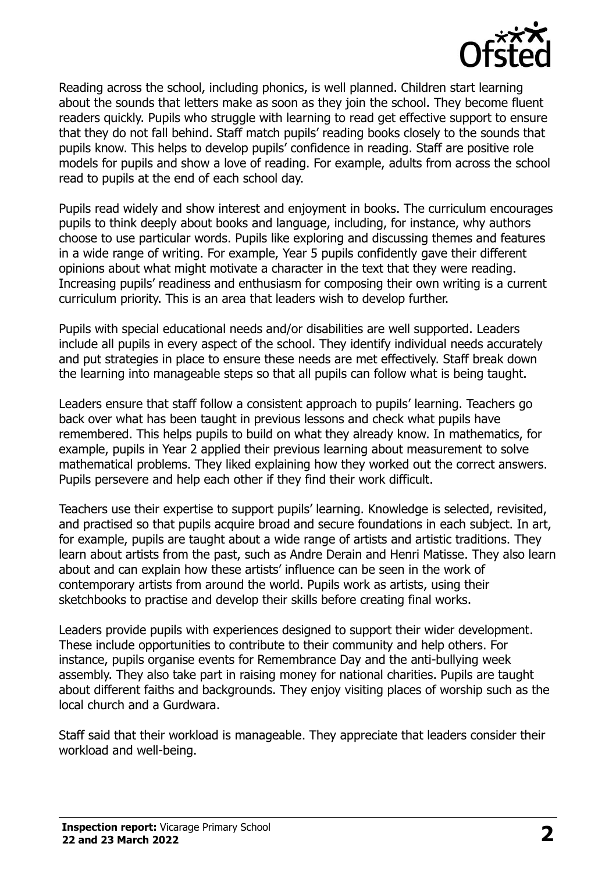

Reading across the school, including phonics, is well planned. Children start learning about the sounds that letters make as soon as they join the school. They become fluent readers quickly. Pupils who struggle with learning to read get effective support to ensure that they do not fall behind. Staff match pupils' reading books closely to the sounds that pupils know. This helps to develop pupils' confidence in reading. Staff are positive role models for pupils and show a love of reading. For example, adults from across the school read to pupils at the end of each school day.

Pupils read widely and show interest and enjoyment in books. The curriculum encourages pupils to think deeply about books and language, including, for instance, why authors choose to use particular words. Pupils like exploring and discussing themes and features in a wide range of writing. For example, Year 5 pupils confidently gave their different opinions about what might motivate a character in the text that they were reading. Increasing pupils' readiness and enthusiasm for composing their own writing is a current curriculum priority. This is an area that leaders wish to develop further.

Pupils with special educational needs and/or disabilities are well supported. Leaders include all pupils in every aspect of the school. They identify individual needs accurately and put strategies in place to ensure these needs are met effectively. Staff break down the learning into manageable steps so that all pupils can follow what is being taught.

Leaders ensure that staff follow a consistent approach to pupils' learning. Teachers go back over what has been taught in previous lessons and check what pupils have remembered. This helps pupils to build on what they already know. In mathematics, for example, pupils in Year 2 applied their previous learning about measurement to solve mathematical problems. They liked explaining how they worked out the correct answers. Pupils persevere and help each other if they find their work difficult.

Teachers use their expertise to support pupils' learning. Knowledge is selected, revisited, and practised so that pupils acquire broad and secure foundations in each subject. In art, for example, pupils are taught about a wide range of artists and artistic traditions. They learn about artists from the past, such as Andre Derain and Henri Matisse. They also learn about and can explain how these artists' influence can be seen in the work of contemporary artists from around the world. Pupils work as artists, using their sketchbooks to practise and develop their skills before creating final works.

Leaders provide pupils with experiences designed to support their wider development. These include opportunities to contribute to their community and help others. For instance, pupils organise events for Remembrance Day and the anti-bullying week assembly. They also take part in raising money for national charities. Pupils are taught about different faiths and backgrounds. They enjoy visiting places of worship such as the local church and a Gurdwara.

Staff said that their workload is manageable. They appreciate that leaders consider their workload and well-being.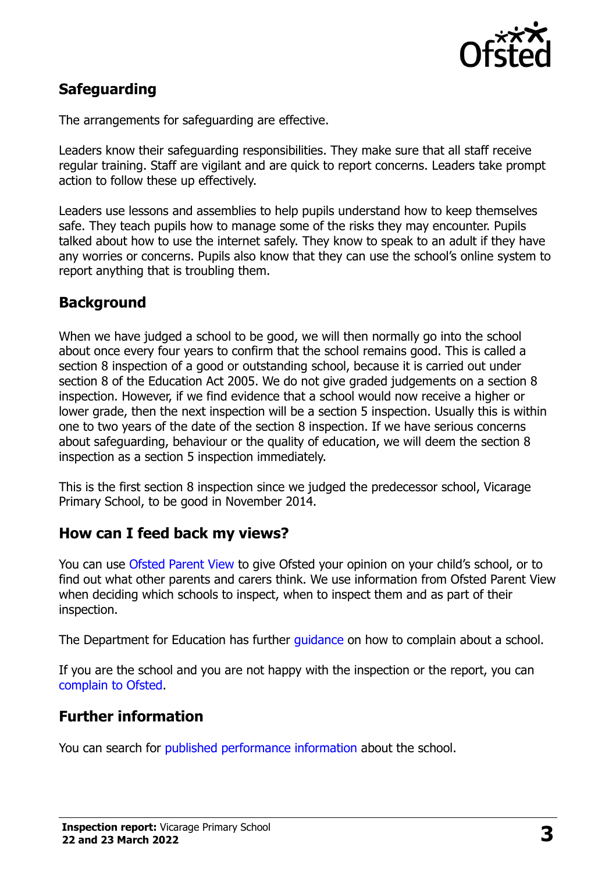

## **Safeguarding**

The arrangements for safeguarding are effective.

Leaders know their safeguarding responsibilities. They make sure that all staff receive regular training. Staff are vigilant and are quick to report concerns. Leaders take prompt action to follow these up effectively.

Leaders use lessons and assemblies to help pupils understand how to keep themselves safe. They teach pupils how to manage some of the risks they may encounter. Pupils talked about how to use the internet safely. They know to speak to an adult if they have any worries or concerns. Pupils also know that they can use the school's online system to report anything that is troubling them.

## **Background**

When we have judged a school to be good, we will then normally go into the school about once every four years to confirm that the school remains good. This is called a section 8 inspection of a good or outstanding school, because it is carried out under section 8 of the Education Act 2005. We do not give graded judgements on a section 8 inspection. However, if we find evidence that a school would now receive a higher or lower grade, then the next inspection will be a section 5 inspection. Usually this is within one to two years of the date of the section 8 inspection. If we have serious concerns about safeguarding, behaviour or the quality of education, we will deem the section 8 inspection as a section 5 inspection immediately.

This is the first section 8 inspection since we judged the predecessor school, Vicarage Primary School, to be good in November 2014.

#### **How can I feed back my views?**

You can use [Ofsted Parent View](https://parentview.ofsted.gov.uk/) to give Ofsted your opinion on your child's school, or to find out what other parents and carers think. We use information from Ofsted Parent View when deciding which schools to inspect, when to inspect them and as part of their inspection.

The Department for Education has further [guidance](http://www.gov.uk/complain-about-school) on how to complain about a school.

If you are the school and you are not happy with the inspection or the report, you can [complain to Ofsted.](https://www.gov.uk/complain-ofsted-report)

## **Further information**

You can search for [published performance information](http://www.compare-school-performance.service.gov.uk/) about the school.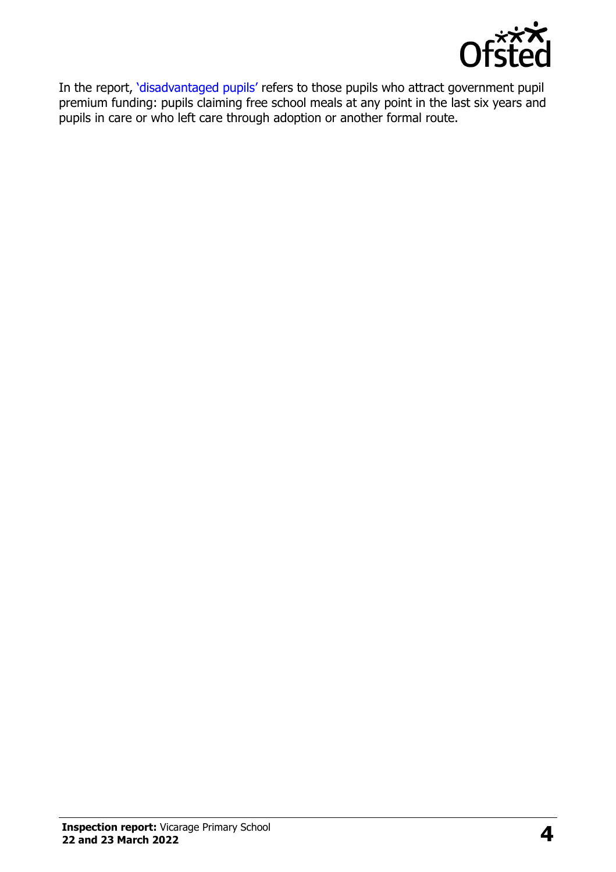

In the report, '[disadvantaged pupils](http://www.gov.uk/guidance/pupil-premium-information-for-schools-and-alternative-provision-settings)' refers to those pupils who attract government pupil premium funding: pupils claiming free school meals at any point in the last six years and pupils in care or who left care through adoption or another formal route.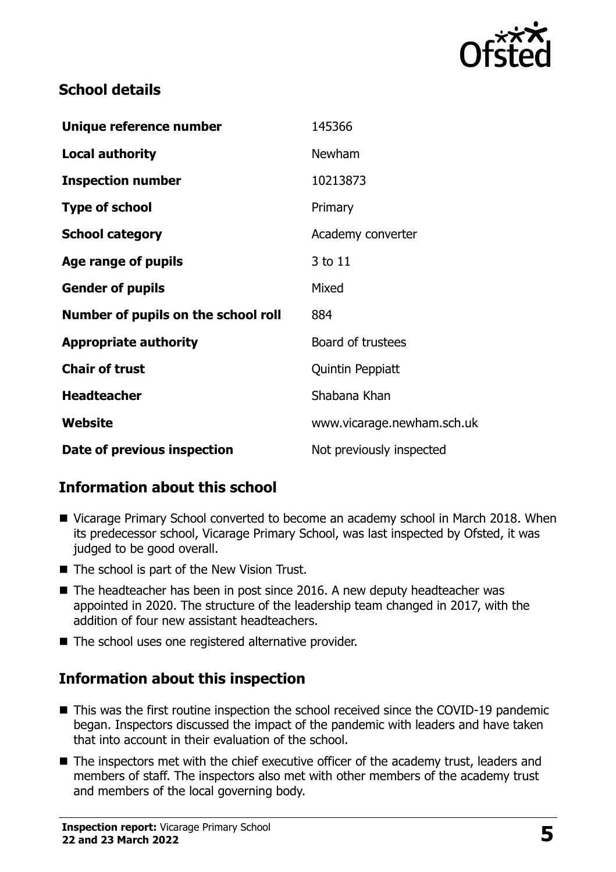

## **School details**

| Unique reference number             | 145366                     |
|-------------------------------------|----------------------------|
| <b>Local authority</b>              | Newham                     |
| <b>Inspection number</b>            | 10213873                   |
| <b>Type of school</b>               | Primary                    |
| <b>School category</b>              | Academy converter          |
| Age range of pupils                 | 3 to 11                    |
| <b>Gender of pupils</b>             | Mixed                      |
| Number of pupils on the school roll | 884                        |
| <b>Appropriate authority</b>        | Board of trustees          |
| <b>Chair of trust</b>               | Quintin Peppiatt           |
| <b>Headteacher</b>                  | Shabana Khan               |
| Website                             | www.vicarage.newham.sch.uk |
| Date of previous inspection         | Not previously inspected   |

## **Information about this school**

- Vicarage Primary School converted to become an academy school in March 2018. When its predecessor school, Vicarage Primary School, was last inspected by Ofsted, it was judged to be good overall.
- The school is part of the New Vision Trust.
- The headteacher has been in post since 2016. A new deputy headteacher was appointed in 2020. The structure of the leadership team changed in 2017, with the addition of four new assistant headteachers.
- The school uses one registered alternative provider.

## **Information about this inspection**

- This was the first routine inspection the school received since the COVID-19 pandemic began. Inspectors discussed the impact of the pandemic with leaders and have taken that into account in their evaluation of the school.
- The inspectors met with the chief executive officer of the academy trust, leaders and members of staff. The inspectors also met with other members of the academy trust and members of the local governing body.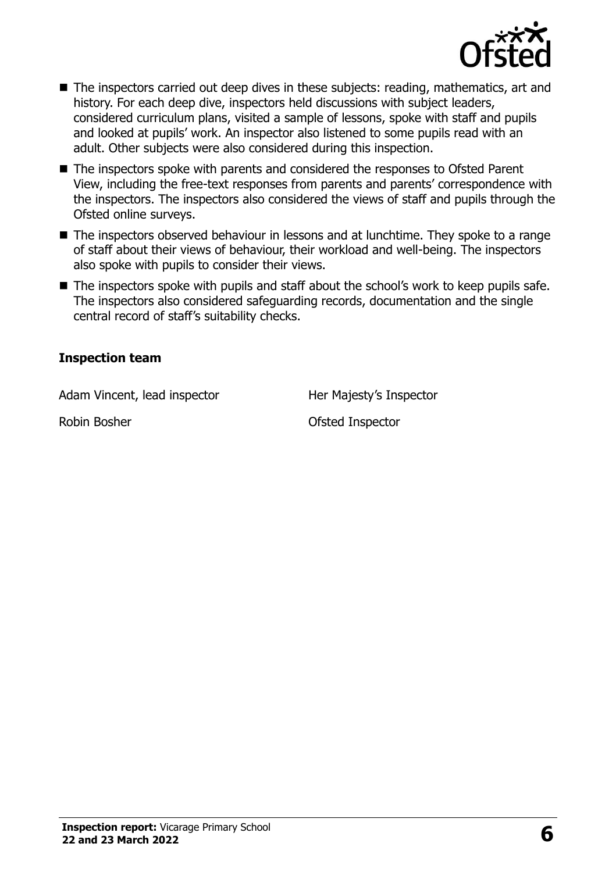

- The inspectors carried out deep dives in these subjects: reading, mathematics, art and history. For each deep dive, inspectors held discussions with subject leaders, considered curriculum plans, visited a sample of lessons, spoke with staff and pupils and looked at pupils' work. An inspector also listened to some pupils read with an adult. Other subjects were also considered during this inspection.
- The inspectors spoke with parents and considered the responses to Ofsted Parent View, including the free-text responses from parents and parents' correspondence with the inspectors. The inspectors also considered the views of staff and pupils through the Ofsted online surveys.
- The inspectors observed behaviour in lessons and at lunchtime. They spoke to a range of staff about their views of behaviour, their workload and well-being. The inspectors also spoke with pupils to consider their views.
- The inspectors spoke with pupils and staff about the school's work to keep pupils safe. The inspectors also considered safeguarding records, documentation and the single central record of staff's suitability checks.

#### **Inspection team**

Adam Vincent, lead inspector Her Majesty's Inspector

Robin Bosher **National Strutter Contract Contract Contract Contract Contract Contract Contract Contract Contract Contract Contract Contract Contract Contract Contract Contract Contract Contract Contract Contract Contract C**